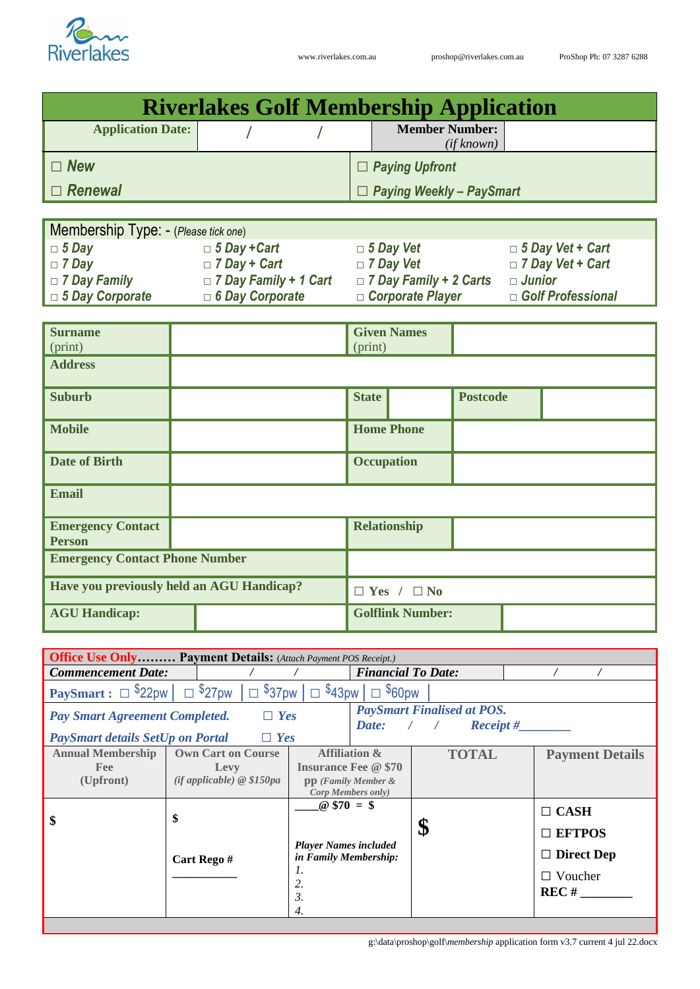

| <b>Riverlakes Golf Membership Application</b>                         |  |                              |  |                                     |                                 |                 |               |                          |  |
|-----------------------------------------------------------------------|--|------------------------------|--|-------------------------------------|---------------------------------|-----------------|---------------|--------------------------|--|
| <b>Application Date:</b>                                              |  |                              |  | <b>Member Number:</b><br>(if known) |                                 |                 |               |                          |  |
| $\Box$ New                                                            |  |                              |  |                                     | $\Box$ Paying Upfront           |                 |               |                          |  |
| $\Box$ Renewal                                                        |  |                              |  |                                     | $\Box$ Paying Weekly - PaySmart |                 |               |                          |  |
|                                                                       |  |                              |  |                                     |                                 |                 |               |                          |  |
| Membership Type: - (Please tick one)                                  |  |                              |  |                                     |                                 |                 |               |                          |  |
| $\Box$ 5 Day                                                          |  | $\Box$ 5 Day + Cart          |  | $\Box$ 5 Day Vet                    |                                 |                 |               | $\Box$ 5 Day Vet + Cart  |  |
| $\Box$ 7 Day                                                          |  | $\Box$ 7 Day + Cart          |  | $\Box$ 7 Day Vet                    |                                 |                 |               | $\Box$ 7 Day Vet + Cart  |  |
| $\Box$ 7 Day Family                                                   |  | $\Box$ 7 Day Family + 1 Cart |  |                                     | $\Box$ 7 Day Family + 2 Carts   |                 | $\Box$ Junior |                          |  |
| $\Box$ 5 Day Corporate                                                |  | $\Box$ 6 Day Corporate       |  |                                     | □ Corporate Player              |                 |               | $\Box$ Golf Professional |  |
|                                                                       |  |                              |  |                                     |                                 |                 |               |                          |  |
| <b>Surname</b>                                                        |  |                              |  |                                     | <b>Given Names</b>              |                 |               |                          |  |
| (print)                                                               |  |                              |  | (print)                             |                                 |                 |               |                          |  |
| <b>Address</b>                                                        |  |                              |  |                                     |                                 |                 |               |                          |  |
| <b>Suburb</b>                                                         |  |                              |  | <b>State</b>                        |                                 | <b>Postcode</b> |               |                          |  |
| <b>Mobile</b>                                                         |  |                              |  | <b>Home Phone</b>                   |                                 |                 |               |                          |  |
| <b>Date of Birth</b>                                                  |  |                              |  | <b>Occupation</b>                   |                                 |                 |               |                          |  |
| <b>Email</b>                                                          |  |                              |  |                                     |                                 |                 |               |                          |  |
| <b>Emergency Contact</b><br><b>Person</b>                             |  |                              |  | <b>Relationship</b>                 |                                 |                 |               |                          |  |
| <b>Emergency Contact Phone Number</b>                                 |  |                              |  |                                     |                                 |                 |               |                          |  |
| Have you previously held an AGU Handicap?                             |  | $\Box$ Yes / $\Box$ No       |  |                                     |                                 |                 |               |                          |  |
| <b>AGU Handicap:</b>                                                  |  |                              |  | <b>Golflink Number:</b>             |                                 |                 |               |                          |  |
|                                                                       |  |                              |  |                                     |                                 |                 |               |                          |  |
| <b>Office Use Only Payment Details:</b> (Attach Payment POS Receipt.) |  |                              |  |                                     |                                 |                 |               |                          |  |
| <b>Commencement Date:</b>                                             |  | $\prime$                     |  | <b>Financial To Date:</b>           |                                 |                 |               |                          |  |

| <b>PaySmart Finalised at POS.</b><br>$\Box$ Yes<br><b>Pay Smart Agreement Completed.</b><br>$\textit{Receipt\#}$<br>Date:<br>$\Box$ Yes<br><b>PaySmart details SetUp on Portal</b><br><b>Affiliation &amp;</b><br><b>Annual Membership</b><br><b>Own Cart on Course</b><br><b>TOTAL</b><br><b>Insurance Fee @ \$70</b><br><b>Fee</b><br>Levy<br>$(if\,appliedble) \& \$150pa$<br>(Upfront)<br>$pp$ (Family Member $\&$<br>Corp Members only)<br>$@$70 = $$<br>$\Box$ CASH<br>\$<br>\$<br>\$<br>$\Box$ EFTPOS<br><b>Player Names included</b><br><b>Direct Dep</b><br>П<br>in Family Membership:<br>Cart Rego#<br>1.<br>$\Box$ Voucher<br>2.<br>REC# | <b>PaySmart</b> : $\Box$ \$22pw $\Box$ \$27pw $\Box$ \$37pw $\Box$<br>$\sqrt{$43}$ pw<br>$\Box$ \$60pw |  |    |  |                        |  |  |
|-----------------------------------------------------------------------------------------------------------------------------------------------------------------------------------------------------------------------------------------------------------------------------------------------------------------------------------------------------------------------------------------------------------------------------------------------------------------------------------------------------------------------------------------------------------------------------------------------------------------------------------------------------|--------------------------------------------------------------------------------------------------------|--|----|--|------------------------|--|--|
|                                                                                                                                                                                                                                                                                                                                                                                                                                                                                                                                                                                                                                                     |                                                                                                        |  |    |  |                        |  |  |
|                                                                                                                                                                                                                                                                                                                                                                                                                                                                                                                                                                                                                                                     |                                                                                                        |  |    |  | <b>Payment Details</b> |  |  |
| 4.                                                                                                                                                                                                                                                                                                                                                                                                                                                                                                                                                                                                                                                  |                                                                                                        |  | 3. |  |                        |  |  |

g:\data\proshop\golf\*membership* application form v3.7 current 4 jul 22.docx